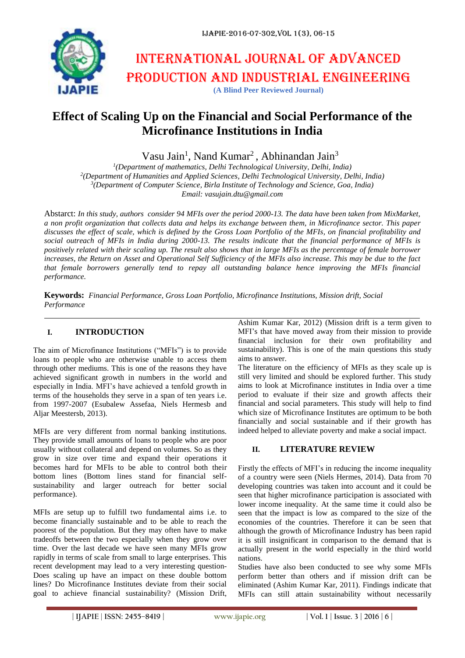

# **Effect of Scaling Up on the Financial and Social Performance of the Microfinance Institutions in India**

Vasu Jain<sup>1</sup>, Nand Kumar<sup>2</sup>, Abhinandan Jain<sup>3</sup>

 *(Department of mathematics, Delhi Technological University, Delhi, India) (Department of Humanities and Applied Sciences, Delhi Technological University, Delhi, India) (Department of Computer Science, Birla Institute of Technology and Science, Goa, India) Email: vasujain.dtu@gmail.com*

Abstarct: *In this study, authors consider 94 MFIs over the period 2000-13. The data have been taken from MixMarket, a non profit organization that collects data and helps its exchange between them, in Microfinance sector. This paper discusses the effect of scale, which is defined by the Gross Loan Portfolio of the MFIs, on financial profitability and social outreach of MFIs in India during 2000-13. The results indicate that the financial performance of MFIs is positively related with their scaling up. The result also shows that in large MFIs as the percentage of female borrower increases, the Return on Asset and Operational Self Sufficiency of the MFIs also increase. This may be due to the fact that female borrowers generally tend to repay all outstanding balance hence improving the MFIs financial performance.* 

**Keywords:** *Financial Performance, Gross Loan Portfolio, Microfinance Institutions, Mission drift, Social Performance*

# **I. INTRODUCTION**

The aim of Microfinance Institutions ("MFIs") is to provide loans to people who are otherwise unable to access them through other mediums. This is one of the reasons they have achieved significant growth in numbers in the world and especially in India. MFI's have achieved a tenfold growth in terms of the households they serve in a span of ten years i.e. from 1997-2007 (Esubalew Assefaa, Niels Hermesb and Aljar Meestersb, 2013).

MFIs are very different from normal banking institutions. They provide small amounts of loans to people who are poor usually without collateral and depend on volumes. So as they grow in size over time and expand their operations it becomes hard for MFIs to be able to control both their bottom lines (Bottom lines stand for financial selfsustainability and larger outreach for better social performance).

MFIs are setup up to fulfill two fundamental aims i.e. to become financially sustainable and to be able to reach the poorest of the population. But they may often have to make tradeoffs between the two especially when they grow over time. Over the last decade we have seen many MFIs grow rapidly in terms of scale from small to large enterprises. This recent development may lead to a very interesting question-Does scaling up have an impact on these double bottom lines? Do Microfinance Institutes deviate from their social goal to achieve financial sustainability? (Mission Drift,

Ashim Kumar Kar, 2012) (Mission drift is a term given to MFI's that have moved away from their mission to provide financial inclusion for their own profitability and sustainability). This is one of the main questions this study aims to answer.

The literature on the efficiency of MFIs as they scale up is still very limited and should be explored further. This study aims to look at Microfinance institutes in India over a time period to evaluate if their size and growth affects their financial and social parameters. This study will help to find which size of Microfinance Institutes are optimum to be both financially and social sustainable and if their growth has indeed helped to alleviate poverty and make a social impact.

# **II. LITERATURE REVIEW**

Firstly the effects of MFI's in reducing the income inequality of a country were seen (Niels Hermes, 2014). Data from 70 developing countries was taken into account and it could be seen that higher microfinance participation is associated with lower income inequality. At the same time it could also be seen that the impact is low as compared to the size of the economies of the countries. Therefore it can be seen that although the growth of Microfinance Industry has been rapid it is still insignificant in comparison to the demand that is actually present in the world especially in the third world nations.

Studies have also been conducted to see why some MFIs perform better than others and if mission drift can be eliminated (Ashim Kumar Kar, 2011). Findings indicate that MFIs can still attain sustainability without necessarily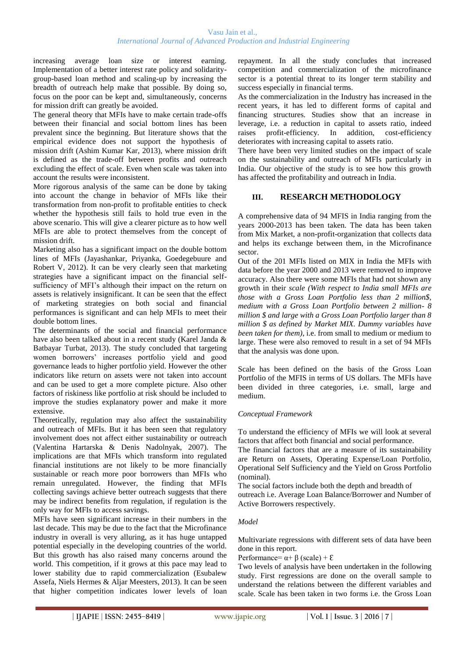increasing average loan size or interest earning. Implementation of a better interest rate policy and solidaritygroup-based loan method and scaling-up by increasing the breadth of outreach help make that possible. By doing so, focus on the poor can be kept and, simultaneously, concerns for mission drift can greatly be avoided.

The general theory that MFIs have to make certain trade-offs between their financial and social bottom lines has been prevalent since the beginning. But literature shows that the empirical evidence does not support the hypothesis of mission drift (Ashim Kumar Kar, 2013), where mission drift is defined as the trade-off between profits and outreach excluding the effect of scale. Even when scale was taken into account the results were inconsistent.

More rigorous analysis of the same can be done by taking into account the change in behavior of MFIs like their transformation from non-profit to profitable entities to check whether the hypothesis still fails to hold true even in the above scenario. This will give a clearer picture as to how well MFIs are able to protect themselves from the concept of mission drift.

Marketing also has a significant impact on the double bottom lines of MFIs (Jayashankar, Priyanka, Goedegebuure and Robert V, 2012). It can be very clearly seen that marketing strategies have a significant impact on the financial selfsufficiency of MFI's although their impact on the return on assets is relatively insignificant. It can be seen that the effect of marketing strategies on both social and financial performances is significant and can help MFIs to meet their double bottom lines.

The determinants of the social and financial performance have also been talked about in a recent study (Karel Janda & Batbayar Turbat, 2013). The study concluded that targeting women borrowers' increases portfolio yield and good governance leads to higher portfolio yield. However the other indicators like return on assets were not taken into account and can be used to get a more complete picture. Also other factors of riskiness like portfolio at risk should be included to improve the studies explanatory power and make it more extensive.

Theoretically, regulation may also affect the sustainability and outreach of MFIs. But it has been seen that regulatory involvement does not affect either sustainability or outreach (Valentina Hartarska & Denis Nadolnyak, 2007). The implications are that MFIs which transform into regulated financial institutions are not likely to be more financially sustainable or reach more poor borrowers than MFIs who remain unregulated. However, the finding that MFIs collecting savings achieve better outreach suggests that there may be indirect benefits from regulation, if regulation is the only way for MFIs to access savings.

MFIs have seen significant increase in their numbers in the last decade. This may be due to the fact that the Microfinance industry in overall is very alluring, as it has huge untapped potential especially in the developing countries of the world. But this growth has also raised many concerns around the world. This competition, if it grows at this pace may lead to lower stability due to rapid commercialization (Esubalew Assefa, Niels Hermes & Aljar Meesters, 2013). It can be seen that higher competition indicates lower levels of loan repayment. In all the study concludes that increased competition and commercialization of the microfinance sector is a potential threat to its longer term stability and success especially in financial terms.

As the commercialization in the Industry has increased in the recent years, it has led to different forms of capital and financing structures. Studies show that an increase in leverage, i.e. a reduction in capital to assets ratio, indeed raises profit-efficiency. In addition, cost-efficiency deteriorates with increasing capital to assets ratio.

There have been very limited studies on the impact of scale on the sustainability and outreach of MFIs particularly in India. Our objective of the study is to see how this growth has affected the profitability and outreach in India.

# **III. RESEARCH METHODOLOGY**

A comprehensive data of 94 MFIS in India ranging from the years 2000-2013 has been taken. The data has been taken from Mix Market, a non-profit-organization that collects data and helps its exchange between them, in the Microfinance sector.

Out of the 201 MFIs listed on MIX in India the MFIs with data before the year 2000 and 2013 were removed to improve accuracy. Also there were some MFIs that had not shown any growth in their *scale (With respect to India small MFIs are those with a Gross Loan Portfolio less than 2 million\$, medium with a Gross Loan Portfolio between 2 million- 8 million \$ and large with a Gross Loan Portfolio larger than 8 million \$ as defined by Market MIX. Dummy variables have been taken for them)*, i.e. from small to medium or medium to large. These were also removed to result in a set of 94 MFIs that the analysis was done upon.

Scale has been defined on the basis of the Gross Loan Portfolio of the MFIS in terms of US dollars. The MFIs have been divided in three categories, i.e. small, large and medium.

#### *Conceptual Framework*

To understand the efficiency of MFIs we will look at several factors that affect both financial and social performance.

The financial factors that are a measure of its sustainability are Return on Assets, Operating Expense/Loan Portfolio, Operational Self Sufficiency and the Yield on Gross Portfolio (nominal).

The social factors include both the depth and breadth of outreach i.e. Average Loan Balance/Borrower and Number of Active Borrowers respectively.

## *Model*

Multivariate regressions with different sets of data have been done in this report.

Performance=  $\alpha + \beta$  (scale) +  $\epsilon$ 

Two levels of analysis have been undertaken in the following study. First regressions are done on the overall sample to understand the relations between the different variables and scale. Scale has been taken in two forms i.e. the Gross Loan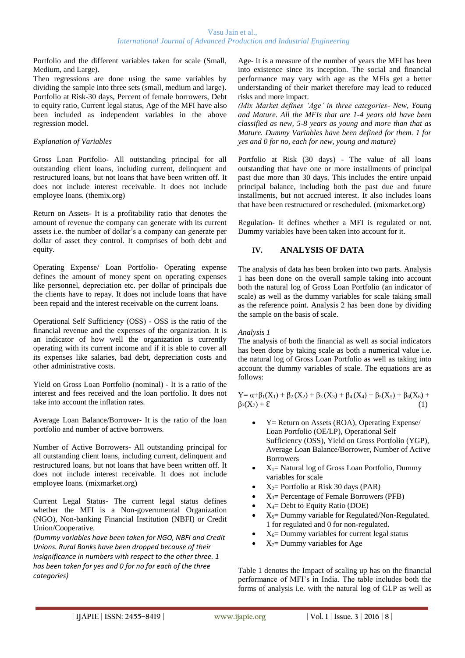Portfolio and the different variables taken for scale (Small, Medium, and Large).

Then regressions are done using the same variables by dividing the sample into three sets (small, medium and large). Portfolio at Risk-30 days, Percent of female borrowers, Debt to equity ratio, Current legal status, Age of the MFI have also been included as independent variables in the above regression model.

## *Explanation of Variables*

Gross Loan Portfolio- All outstanding principal for all outstanding client loans, including current, delinquent and restructured loans, but not loans that have been written off. It does not include interest receivable. It does not include employee loans. (themix.org)

Return on Assets- It is a profitability ratio that denotes the amount of revenue the company can generate with its current assets i.e. the number of dollar's a company can generate per dollar of asset they control. It comprises of both debt and equity.

Operating Expense/ Loan Portfolio- Operating expense defines the amount of money spent on operating expenses like personnel, depreciation etc. per dollar of principals due the clients have to repay. It does not include loans that have been repaid and the interest receivable on the current loans.

Operational Self Sufficiency (OSS) - OSS is the ratio of the financial revenue and the expenses of the organization. It is an indicator of how well the organization is currently operating with its current income and if it is able to cover all its expenses like salaries, bad debt, depreciation costs and other administrative costs.

Yield on Gross Loan Portfolio (nominal) - It is a ratio of the interest and fees received and the loan portfolio. It does not take into account the inflation rates.

Average Loan Balance/Borrower- It is the ratio of the loan portfolio and number of active borrowers.

Number of Active Borrowers- All outstanding principal for all outstanding client loans, including current, delinquent and restructured loans, but not loans that have been written off. It does not include interest receivable. It does not include employee loans. (mixmarket.org)

Current Legal Status- The current legal status defines whether the MFI is a Non-governmental Organization (NGO), Non-banking Financial Institution (NBFI) or Credit Union/Cooperative.

*(Dummy variables have been taken for NGO, NBFI and Credit Unions. Rural Banks have been dropped because of their insignificance in numbers with respect to the other three. 1 has been taken for yes and 0 for no for each of the three categories)*

Age- It is a measure of the number of years the MFI has been into existence since its inception. The social and financial performance may vary with age as the MFIs get a better understanding of their market therefore may lead to reduced risks and more impact.

*(Mix Market defines 'Age' in three categories- New, Young and Mature. All the MFIs that are 1-4 years old have been classified as new, 5-8 years as young and more than that as Mature. Dummy Variables have been defined for them. 1 for yes and 0 for no, each for new, young and mature)*

Portfolio at Risk (30 days) - The value of all loans outstanding that have one or more installments of principal past due more than 30 days. This includes the entire unpaid principal balance, including both the past due and future installments, but not accrued interest. It also includes loans that have been restructured or rescheduled. (mixmarket.org)

Regulation- It defines whether a MFI is regulated or not. Dummy variables have been taken into account for it.

# **IV. ANALYSIS OF DATA**

The analysis of data has been broken into two parts. Analysis 1 has been done on the overall sample taking into account both the natural log of Gross Loan Portfolio (an indicator of scale) as well as the dummy variables for scale taking small as the reference point. Analysis 2 has been done by dividing the sample on the basis of scale.

## *Analysis 1*

The analysis of both the financial as well as social indicators has been done by taking scale as both a numerical value i.e. the natural log of Gross Loan Portfolio as well as taking into account the dummy variables of scale. The equations are as follows:

Y=  $\alpha+\beta_1(X_1)+\beta_2(X_2)+\beta_3(X_3)+\beta_4(X_4)+\beta_5(X_5)+\beta_6(X_6)+$  $\beta_7(X_7) + \mathcal{E}$  (1)

- Y= Return on Assets (ROA), Operating Expense/ Loan Portfolio (OE/LP), Operational Self Sufficiency (OSS), Yield on Gross Portfolio (YGP), Average Loan Balance/Borrower, Number of Active **Borrowers**
- $X_1$ = Natural log of Gross Loan Portfolio, Dummy variables for scale
- $X_2$ = Portfolio at Risk 30 days (PAR)
- $X_3$ = Percentage of Female Borrowers (PFB)
- X4= Debt to Equity Ratio (DOE)
- $X_5$ = Dummy variable for Regulated/Non-Regulated. 1 for regulated and 0 for non-regulated.
- $X_6$ = Dummy variables for current legal status
- $X_7$ = Dummy variables for Age

Table 1 denotes the Impact of scaling up has on the financial performance of MFI's in India. The table includes both the forms of analysis i.e. with the natural log of GLP as well as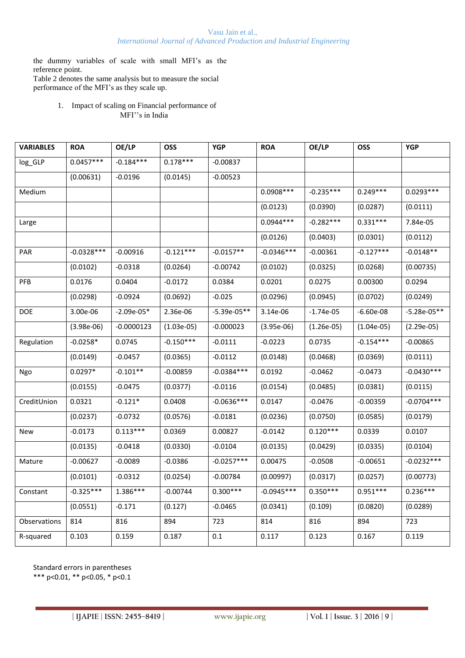the dummy variables of scale with small MFI's as the reference point.

Table 2 denotes the same analysis but to measure the social performance of the MFI's as they scale up.

> 1. Impact of scaling on Financial performance of MFI''s in India

| <b>VARIABLES</b> | <b>ROA</b>   | OE/LP        | <b>OSS</b>   | <b>YGP</b>    | <b>ROA</b>   | OE/LP        | <b>OSS</b>   | <b>YGP</b>    |
|------------------|--------------|--------------|--------------|---------------|--------------|--------------|--------------|---------------|
| log_GLP          | $0.0457***$  | $-0.184***$  | $0.178***$   | $-0.00837$    |              |              |              |               |
|                  | (0.00631)    | $-0.0196$    | (0.0145)     | $-0.00523$    |              |              |              |               |
| Medium           |              |              |              |               | $0.0908***$  | $-0.235***$  | $0.249***$   | $0.0293***$   |
|                  |              |              |              |               | (0.0123)     | (0.0390)     | (0.0287)     | (0.0111)      |
| Large            |              |              |              |               | $0.0944***$  | $-0.282***$  | $0.331***$   | 7.84e-05      |
|                  |              |              |              |               | (0.0126)     | (0.0403)     | (0.0301)     | (0.0112)      |
| <b>PAR</b>       | $-0.0328***$ | $-0.00916$   | $-0.121***$  | $-0.0157**$   | $-0.0346***$ | $-0.00361$   | $-0.127***$  | $-0.0148**$   |
|                  | (0.0102)     | $-0.0318$    | (0.0264)     | $-0.00742$    | (0.0102)     | (0.0325)     | (0.0268)     | (0.00735)     |
| <b>PFB</b>       | 0.0176       | 0.0404       | $-0.0172$    | 0.0384        | 0.0201       | 0.0275       | 0.00300      | 0.0294        |
|                  | (0.0298)     | $-0.0924$    | (0.0692)     | $-0.025$      | (0.0296)     | (0.0945)     | (0.0702)     | (0.0249)      |
| DOE              | 3.00e-06     | $-2.09e-05*$ | 2.36e-06     | $-5.39e-05**$ | 3.14e-06     | $-1.74e-05$  | $-6.60e-08$  | $-5.28e-05**$ |
|                  | $(3.98e-06)$ | $-0.0000123$ | $(1.03e-05)$ | $-0.000023$   | $(3.95e-06)$ | $(1.26e-05)$ | $(1.04e-05)$ | $(2.29e-05)$  |
| Regulation       | $-0.0258*$   | 0.0745       | $-0.150***$  | $-0.0111$     | $-0.0223$    | 0.0735       | $-0.154***$  | $-0.00865$    |
|                  | (0.0149)     | $-0.0457$    | (0.0365)     | $-0.0112$     | (0.0148)     | (0.0468)     | (0.0369)     | (0.0111)      |
| Ngo              | $0.0297*$    | $-0.101**$   | $-0.00859$   | $-0.0384***$  | 0.0192       | $-0.0462$    | $-0.0473$    | $-0.0430***$  |
|                  | (0.0155)     | $-0.0475$    | (0.0377)     | $-0.0116$     | (0.0154)     | (0.0485)     | (0.0381)     | (0.0115)      |
| CreditUnion      | 0.0321       | $-0.121*$    | 0.0408       | $-0.0636***$  | 0.0147       | $-0.0476$    | $-0.00359$   | $-0.0704***$  |
|                  | (0.0237)     | $-0.0732$    | (0.0576)     | $-0.0181$     | (0.0236)     | (0.0750)     | (0.0585)     | (0.0179)      |
| New              | $-0.0173$    | $0.113***$   | 0.0369       | 0.00827       | $-0.0142$    | $0.120***$   | 0.0339       | 0.0107        |
|                  | (0.0135)     | $-0.0418$    | (0.0330)     | $-0.0104$     | (0.0135)     | (0.0429)     | (0.0335)     | (0.0104)      |
| Mature           | $-0.00627$   | $-0.0089$    | $-0.0386$    | $-0.0257***$  | 0.00475      | $-0.0508$    | $-0.00651$   | $-0.0232***$  |
|                  | (0.0101)     | $-0.0312$    | (0.0254)     | $-0.00784$    | (0.00997)    | (0.0317)     | (0.0257)     | (0.00773)     |
| Constant         | $-0.325***$  | 1.386***     | $-0.00744$   | $0.300***$    | $-0.0945***$ | $0.350***$   | $0.951***$   | $0.236***$    |
|                  | (0.0551)     | $-0.171$     | (0.127)      | $-0.0465$     | (0.0341)     | (0.109)      | (0.0820)     | (0.0289)      |
| Observations     | 814          | 816          | 894          | 723           | 814          | 816          | 894          | 723           |
| R-squared        | 0.103        | 0.159        | 0.187        | 0.1           | 0.117        | 0.123        | 0.167        | 0.119         |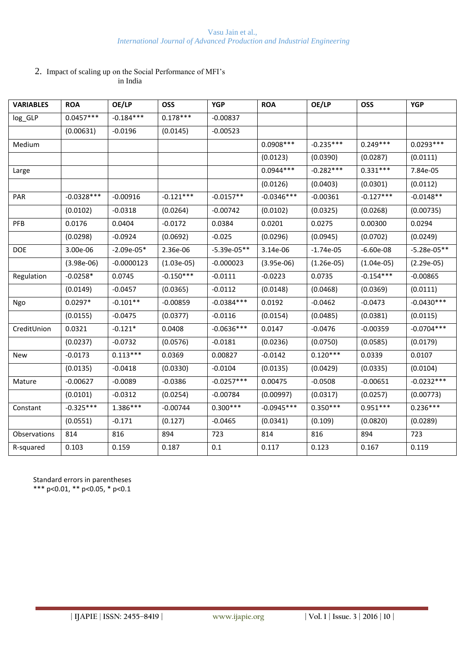## 2. Impact of scaling up on the Social Performance of MFI's in India

| <b>VARIABLES</b> | <b>ROA</b>   | OE/LP        | <b>OSS</b>   | <b>YGP</b>    | <b>ROA</b>   | OE/LP        | <b>OSS</b>   | <b>YGP</b>    |
|------------------|--------------|--------------|--------------|---------------|--------------|--------------|--------------|---------------|
| log_GLP          | $0.0457***$  | $-0.184***$  | $0.178***$   | $-0.00837$    |              |              |              |               |
|                  | (0.00631)    | $-0.0196$    | (0.0145)     | $-0.00523$    |              |              |              |               |
| Medium           |              |              |              |               | $0.0908***$  | $-0.235***$  | $0.249***$   | $0.0293***$   |
|                  |              |              |              |               | (0.0123)     | (0.0390)     | (0.0287)     | (0.0111)      |
| Large            |              |              |              |               | $0.0944***$  | $-0.282***$  | $0.331***$   | 7.84e-05      |
|                  |              |              |              |               | (0.0126)     | (0.0403)     | (0.0301)     | (0.0112)      |
| PAR              | $-0.0328***$ | $-0.00916$   | $-0.121***$  | $-0.0157**$   | $-0.0346***$ | $-0.00361$   | $-0.127***$  | $-0.0148**$   |
|                  | (0.0102)     | $-0.0318$    | (0.0264)     | $-0.00742$    | (0.0102)     | (0.0325)     | (0.0268)     | (0.00735)     |
| <b>PFB</b>       | 0.0176       | 0.0404       | $-0.0172$    | 0.0384        | 0.0201       | 0.0275       | 0.00300      | 0.0294        |
|                  | (0.0298)     | $-0.0924$    | (0.0692)     | $-0.025$      | (0.0296)     | (0.0945)     | (0.0702)     | (0.0249)      |
| <b>DOE</b>       | 3.00e-06     | $-2.09e-05*$ | 2.36e-06     | $-5.39e-05**$ | 3.14e-06     | $-1.74e-05$  | $-6.60e-08$  | $-5.28e-05**$ |
|                  | $(3.98e-06)$ | $-0.0000123$ | $(1.03e-05)$ | $-0.000023$   | $(3.95e-06)$ | $(1.26e-05)$ | $(1.04e-05)$ | $(2.29e-05)$  |
| Regulation       | $-0.0258*$   | 0.0745       | $-0.150***$  | $-0.0111$     | $-0.0223$    | 0.0735       | $-0.154***$  | $-0.00865$    |
|                  | (0.0149)     | $-0.0457$    | (0.0365)     | $-0.0112$     | (0.0148)     | (0.0468)     | (0.0369)     | (0.0111)      |
| Ngo              | $0.0297*$    | $-0.101**$   | $-0.00859$   | $-0.0384***$  | 0.0192       | $-0.0462$    | $-0.0473$    | $-0.0430***$  |
|                  | (0.0155)     | $-0.0475$    | (0.0377)     | $-0.0116$     | (0.0154)     | (0.0485)     | (0.0381)     | (0.0115)      |
| CreditUnion      | 0.0321       | $-0.121*$    | 0.0408       | $-0.0636***$  | 0.0147       | $-0.0476$    | $-0.00359$   | $-0.0704***$  |
|                  | (0.0237)     | $-0.0732$    | (0.0576)     | $-0.0181$     | (0.0236)     | (0.0750)     | (0.0585)     | (0.0179)      |
| New              | $-0.0173$    | $0.113***$   | 0.0369       | 0.00827       | $-0.0142$    | $0.120***$   | 0.0339       | 0.0107        |
|                  | (0.0135)     | $-0.0418$    | (0.0330)     | $-0.0104$     | (0.0135)     | (0.0429)     | (0.0335)     | (0.0104)      |
| Mature           | $-0.00627$   | $-0.0089$    | $-0.0386$    | $-0.0257***$  | 0.00475      | $-0.0508$    | $-0.00651$   | $-0.0232***$  |
|                  | (0.0101)     | $-0.0312$    | (0.0254)     | $-0.00784$    | (0.00997)    | (0.0317)     | (0.0257)     | (0.00773)     |
| Constant         | $-0.325***$  | $1.386***$   | $-0.00744$   | $0.300***$    | $-0.0945***$ | $0.350***$   | $0.951***$   | $0.236***$    |
|                  | (0.0551)     | $-0.171$     | (0.127)      | $-0.0465$     | (0.0341)     | (0.109)      | (0.0820)     | (0.0289)      |
| Observations     | 814          | 816          | 894          | 723           | 814          | 816          | 894          | 723           |
| R-squared        | 0.103        | 0.159        | 0.187        | 0.1           | 0.117        | 0.123        | 0.167        | 0.119         |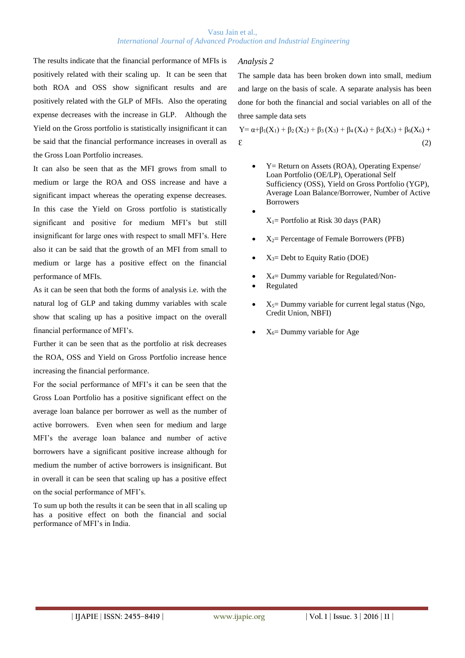The results indicate that the financial performance of MFIs is positively related with their scaling up. It can be seen that both ROA and OSS show significant results and are positively related with the GLP of MFIs. Also the operating expense decreases with the increase in GLP. Although the Yield on the Gross portfolio is statistically insignificant it can be said that the financial performance increases in overall as the Gross Loan Portfolio increases.

It can also be seen that as the MFI grows from small to medium or large the ROA and OSS increase and have a significant impact whereas the operating expense decreases. In this case the Yield on Gross portfolio is statistically significant and positive for medium MFI's but still insignificant for large ones with respect to small MFI's. Here also it can be said that the growth of an MFI from small to medium or large has a positive effect on the financial performance of MFIs.

As it can be seen that both the forms of analysis i.e. with the natural log of GLP and taking dummy variables with scale show that scaling up has a positive impact on the overall financial performance of MFI's.

Further it can be seen that as the portfolio at risk decreases the ROA, OSS and Yield on Gross Portfolio increase hence increasing the financial performance.

For the social performance of MFI's it can be seen that the Gross Loan Portfolio has a positive significant effect on the average loan balance per borrower as well as the number of active borrowers. Even when seen for medium and large MFI's the average loan balance and number of active borrowers have a significant positive increase although for medium the number of active borrowers is insignificant. But in overall it can be seen that scaling up has a positive effect on the social performance of MFI's.

To sum up both the results it can be seen that in all scaling up has a positive effect on both the financial and social performance of MFI's in India.

## *Analysis 2*

 $\bullet$ 

The sample data has been broken down into small, medium and large on the basis of scale. A separate analysis has been done for both the financial and social variables on all of the three sample data sets

Y=  $\alpha+\beta_1(X_1)+\beta_2(X_2)+\beta_3(X_3)+\beta_4(X_4)+\beta_5(X_5)+\beta_6(X_6)+$  $\mathcal{E}$  (2)

- Y= Return on Assets (ROA), Operating Expense/ Loan Portfolio (OE/LP), Operational Self Sufficiency (OSS), Yield on Gross Portfolio (YGP), Average Loan Balance/Borrower, Number of Active Borrowers
	- $X_1$ = Portfolio at Risk 30 days (PAR)
- $X_2$ = Percentage of Female Borrowers (PFB)
- $X_3$ = Debt to Equity Ratio (DOE)
- $X_4$ = Dummy variable for Regulated/Non-
- Regulated
- $X_5$ = Dummy variable for current legal status (Ngo, Credit Union, NBFI)
- $X_6$ = Dummy variable for Age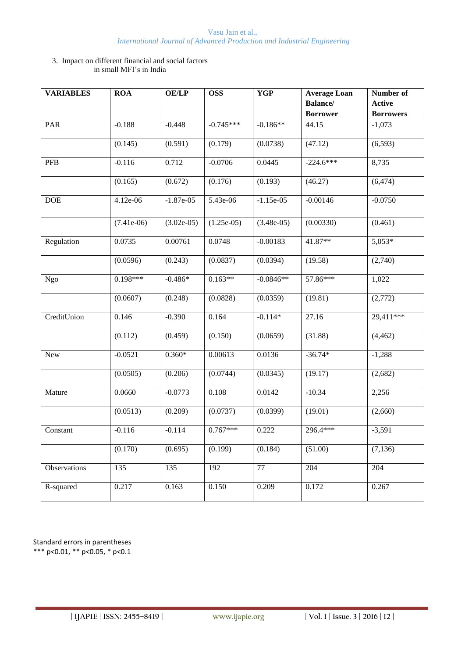#### 3. Impact on different financial and social factors in small MFI's in India

| <b>VARIABLES</b>             | <b>ROA</b>   | <b>OE/LP</b> | <b>OSS</b>   | <b>YGP</b>   | <b>Average Loan</b> | Number of        |
|------------------------------|--------------|--------------|--------------|--------------|---------------------|------------------|
|                              |              |              |              |              | <b>Balance/</b>     | <b>Active</b>    |
|                              |              |              |              |              | <b>Borrower</b>     | <b>Borrowers</b> |
| PAR                          | $-0.188$     | $-0.448$     | $-0.745***$  | $-0.186**$   | 44.15               | $-1,073$         |
|                              | (0.145)      | (0.591)      | (0.179)      | (0.0738)     | (47.12)             | (6, 593)         |
| PFB                          | $-0.116$     | 0.712        | $-0.0706$    | 0.0445       | $-224.6***$         | 8,735            |
|                              | (0.165)      | (0.672)      | (0.176)      | (0.193)      | (46.27)             | (6, 474)         |
| <b>DOE</b>                   | 4.12e-06     | $-1.87e-05$  | 5.43e-06     | $-1.15e-05$  | $-0.00146$          | $-0.0750$        |
|                              | $(7.41e-06)$ | $(3.02e-05)$ | $(1.25e-05)$ | $(3.48e-05)$ | (0.00330)           | (0.461)          |
| Regulation                   | 0.0735       | 0.00761      | 0.0748       | $-0.00183$   | 41.87**             | $5,053*$         |
|                              | (0.0596)     | (0.243)      | (0.0837)     | (0.0394)     | (19.58)             | (2,740)          |
| <b>Ngo</b>                   | $0.198***$   | $-0.486*$    | $0.163**$    | $-0.0846**$  | 57.86***            | 1,022            |
|                              | (0.0607)     | (0.248)      | (0.0828)     | (0.0359)     | (19.81)             | (2,772)          |
| CreditUnion                  | 0.146        | $-0.390$     | 0.164        | $-0.114*$    | $\overline{27.16}$  | $29,411***$      |
|                              | (0.112)      | (0.459)      | (0.150)      | (0.0659)     | (31.88)             | (4, 462)         |
| New                          | $-0.0521$    | $0.360*$     | 0.00613      | 0.0136       | $-36.74*$           | $-1,288$         |
|                              | (0.0505)     | (0.206)      | (0.0744)     | (0.0345)     | (19.17)             | (2,682)          |
| Mature                       | 0.0660       | $-0.0773$    | 0.108        | 0.0142       | $-10.34$            | 2,256            |
|                              | (0.0513)     | (0.209)      | (0.0737)     | (0.0399)     | (19.01)             | (2,660)          |
| $\overline{\text{Constant}}$ | $-0.116$     | $-0.114$     | $0.767***$   | 0.222        | 296.4***            | $-3,591$         |
|                              | (0.170)      | (0.695)      | (0.199)      | (0.184)      | (51.00)             | (7,136)          |
| Observations                 | 135          | 135          | 192          | 77           | 204                 | 204              |
| R-squared                    | 0.217        | 0.163        | 0.150        | 0.209        | 0.172               | 0.267            |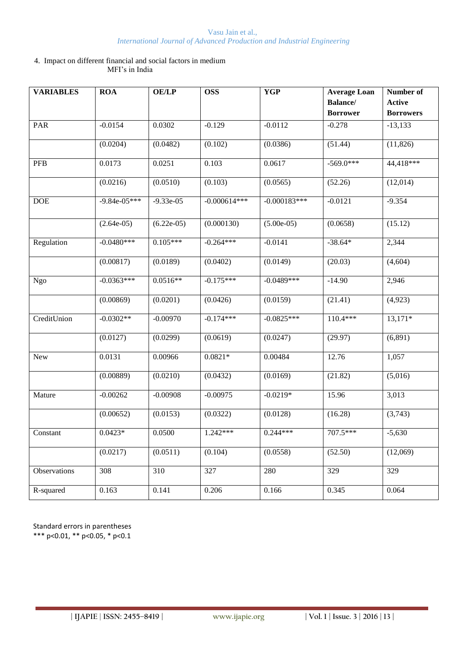#### 4. Impact on different financial and social factors in medium MFI's in India

| <b>VARIABLES</b> | <b>ROA</b>     | <b>OE/LP</b> | <b>OSS</b>       | <b>YGP</b>     | <b>Average Loan</b> | Number of        |
|------------------|----------------|--------------|------------------|----------------|---------------------|------------------|
|                  |                |              |                  |                | <b>Balance/</b>     | <b>Active</b>    |
|                  |                |              |                  |                | <b>Borrower</b>     | <b>Borrowers</b> |
| PAR              | $-0.0154$      | 0.0302       | $-0.129$         | $-0.0112$      | $-0.278$            | $-13,133$        |
|                  | (0.0204)       | (0.0482)     | (0.102)          | (0.0386)       | (51.44)             | (11, 826)        |
| PFB              | 0.0173         | 0.0251       | 0.103            | 0.0617         | $-569.0***$         | 44,418***        |
|                  | (0.0216)       | (0.0510)     | (0.103)          | (0.0565)       | (52.26)             | (12,014)         |
| <b>DOE</b>       | $-9.84e-05***$ | $-9.33e-05$  | $-0.000614***$   | $-0.000183***$ | $-0.0121$           | $-9.354$         |
|                  | $(2.64e-05)$   | $(6.22e-05)$ | (0.000130)       | $(5.00e-05)$   | (0.0658)            | (15.12)          |
| Regulation       | $-0.0480***$   | $0.105***$   | $-0.264***$      | $-0.0141$      | $-38.64*$           | 2,344            |
|                  | (0.00817)      | (0.0189)     | (0.0402)         | (0.0149)       | (20.03)             | (4,604)          |
| <b>Ngo</b>       | $-0.0363***$   | $0.0516**$   | $-0.175***$      | $-0.0489***$   | $-14.90$            | 2,946            |
|                  | (0.00869)      | (0.0201)     | (0.0426)         | (0.0159)       | (21.41)             | (4,923)          |
| CreditUnion      | $-0.0302**$    | $-0.00970$   | $-0.174***$      | $-0.0825***$   | $110.4***$          | $13,171*$        |
|                  | (0.0127)       | (0.0299)     | (0.0619)         | (0.0247)       | (29.97)             | (6,891)          |
| New              | 0.0131         | 0.00966      | $0.0821*$        | 0.00484        | 12.76               | 1,057            |
|                  | (0.00889)      | (0.0210)     | (0.0432)         | (0.0169)       | (21.82)             | (5,016)          |
| Mature           | $-0.00262$     | $-0.00908$   | $-0.00975$       | $-0.0219*$     | 15.96               | 3,013            |
|                  | (0.00652)      | (0.0153)     | (0.0322)         | (0.0128)       | (16.28)             | (3,743)          |
| Constant         | $0.0423*$      | 0.0500       | $1.242***$       | $0.244***$     | 707.5***            | $-5,630$         |
|                  | (0.0217)       | (0.0511)     | (0.104)          | (0.0558)       | (52.50)             | (12,069)         |
| Observations     | 308            | 310          | $\overline{327}$ | 280            | 329                 | 329              |
| R-squared        | 0.163          | 0.141        | 0.206            | 0.166          | 0.345               | 0.064            |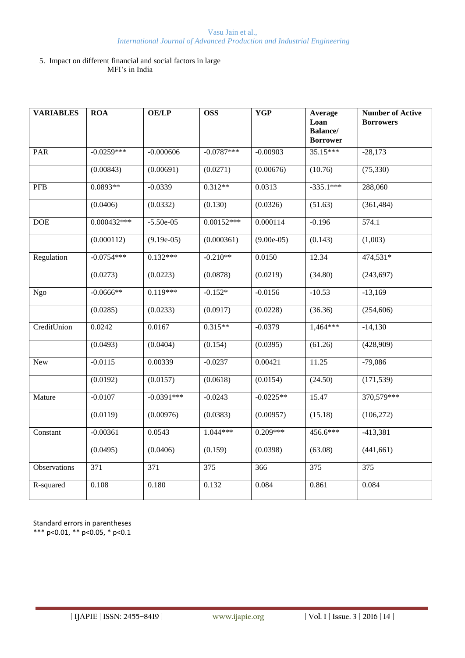#### 5. Impact on different financial and social factors in large MFI's in India

| <b>VARIABLES</b> | <b>ROA</b>       | <b>OE/LP</b>     | <b>OSS</b>      | <b>YGP</b>   | Average<br>Loan<br><b>Balance</b> / | <b>Number of Active</b><br><b>Borrowers</b> |
|------------------|------------------|------------------|-----------------|--------------|-------------------------------------|---------------------------------------------|
| PAR              | $-0.0259***$     | $-0.000606$      | $-0.0787***$    | $-0.00903$   | <b>Borrower</b><br>$35.15***$       | $-28,173$                                   |
|                  |                  |                  |                 |              |                                     |                                             |
|                  | (0.00843)        | (0.00691)        | (0.0271)        | (0.00676)    | (10.76)                             | (75, 330)                                   |
| <b>PFB</b>       | 0.0893**         | $-0.0339$        | $0.312**$       | 0.0313       | $-335.1***$                         | 288,060                                     |
|                  | (0.0406)         | (0.0332)         | (0.130)         | (0.0326)     | (51.63)                             | (361, 484)                                  |
| <b>DOE</b>       | $0.000432***$    | $-5.50e-05$      | $0.00152***$    | 0.000114     | $-0.196$                            | 574.1                                       |
|                  | (0.000112)       | $(9.19e-05)$     | (0.000361)      | $(9.00e-05)$ | (0.143)                             | (1,003)                                     |
| Regulation       | $-0.0754***$     | $0.132***$       | $-0.210**$      | 0.0150       | 12.34                               | 474,531*                                    |
|                  | (0.0273)         | (0.0223)         | (0.0878)        | (0.0219)     | (34.80)                             | (243, 697)                                  |
| Ngo              | $-0.0666**$      | $0.119***$       | $-0.152*$       | $-0.0156$    | $-10.53$                            | $-13,169$                                   |
|                  | (0.0285)         | (0.0233)         | (0.0917)        | (0.0228)     | (36.36)                             | (254, 606)                                  |
| CreditUnion      | 0.0242           | 0.0167           | $0.315**$       | $-0.0379$    | $1,464***$                          | $-14,130$                                   |
|                  | (0.0493)         | (0.0404)         | (0.154)         | (0.0395)     | (61.26)                             | (428,909)                                   |
| <b>New</b>       | $-0.0115$        | 0.00339          | $-0.0237$       | 0.00421      | 11.25                               | $-79,086$                                   |
|                  | (0.0192)         | (0.0157)         | (0.0618)        | (0.0154)     | (24.50)                             | (171, 539)                                  |
| Mature           | $-0.0107$        | $-0.0391***$     | $-0.0243$       | $-0.0225**$  | 15.47                               | 370,579***                                  |
|                  | (0.0119)         | (0.00976)        | (0.0383)        | (0.00957)    | (15.18)                             | (106, 272)                                  |
| Constant         | $-0.00361$       | 0.0543           | 1.044***        | $0.209***$   | 456.6***                            | $-413,381$                                  |
|                  | (0.0495)         | (0.0406)         | (0.159)         | (0.0398)     | (63.08)                             | (441,661)                                   |
| Observations     | $\overline{371}$ | $\overline{371}$ | $\frac{1}{375}$ | 366          | $\frac{1}{375}$                     | $\frac{1}{375}$                             |
| R-squared        | 0.108            | 0.180            | 0.132           | 0.084        | 0.861                               | 0.084                                       |